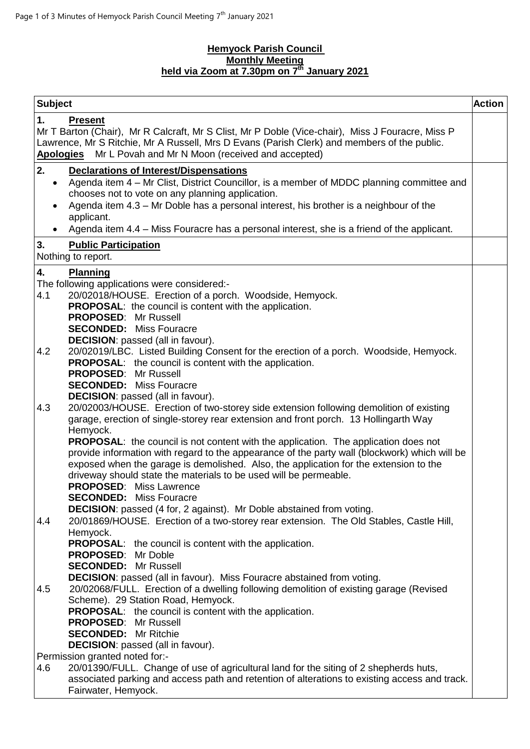## **Hemyock Parish Council Monthly Meeting held via Zoom at 7.30pm on 7 th January 2021**

| <b>Subject</b>                                                                                                                                                                                                                                                                                                                                                                                                                                                                                                                                                                                                                                                                                                    | <b>Action</b> |
|-------------------------------------------------------------------------------------------------------------------------------------------------------------------------------------------------------------------------------------------------------------------------------------------------------------------------------------------------------------------------------------------------------------------------------------------------------------------------------------------------------------------------------------------------------------------------------------------------------------------------------------------------------------------------------------------------------------------|---------------|
| 1.<br><b>Present</b><br>Mr T Barton (Chair), Mr R Calcraft, Mr S Clist, Mr P Doble (Vice-chair), Miss J Fouracre, Miss P<br>Lawrence, Mr S Ritchie, Mr A Russell, Mrs D Evans (Parish Clerk) and members of the public.<br>Apologies Mr L Povah and Mr N Moon (received and accepted)                                                                                                                                                                                                                                                                                                                                                                                                                             |               |
| 2.<br><b>Declarations of Interest/Dispensations</b><br>Agenda item 4 – Mr Clist, District Councillor, is a member of MDDC planning committee and<br>$\bullet$<br>chooses not to vote on any planning application.<br>Agenda item 4.3 - Mr Doble has a personal interest, his brother is a neighbour of the<br>$\bullet$<br>applicant.<br>Agenda item 4.4 – Miss Fouracre has a personal interest, she is a friend of the applicant.<br>$\bullet$                                                                                                                                                                                                                                                                  |               |
| 3.<br><b>Public Participation</b><br>Nothing to report.                                                                                                                                                                                                                                                                                                                                                                                                                                                                                                                                                                                                                                                           |               |
|                                                                                                                                                                                                                                                                                                                                                                                                                                                                                                                                                                                                                                                                                                                   |               |
| 4.<br><b>Planning</b><br>The following applications were considered:-<br>4.1<br>20/02018/HOUSE. Erection of a porch. Woodside, Hemyock.<br><b>PROPOSAL:</b> the council is content with the application.<br><b>PROPOSED: Mr Russell</b><br><b>SECONDED:</b> Miss Fouracre<br><b>DECISION:</b> passed (all in favour).                                                                                                                                                                                                                                                                                                                                                                                             |               |
| 20/02019/LBC. Listed Building Consent for the erection of a porch. Woodside, Hemyock.<br>4.2<br><b>PROPOSAL:</b> the council is content with the application.<br><b>PROPOSED: Mr Russell</b><br><b>SECONDED:</b> Miss Fouracre<br><b>DECISION:</b> passed (all in favour).                                                                                                                                                                                                                                                                                                                                                                                                                                        |               |
| 20/02003/HOUSE. Erection of two-storey side extension following demolition of existing<br>4.3<br>garage, erection of single-storey rear extension and front porch. 13 Hollingarth Way<br>Hemyock.<br><b>PROPOSAL:</b> the council is not content with the application. The application does not<br>provide information with regard to the appearance of the party wall (blockwork) which will be<br>exposed when the garage is demolished. Also, the application for the extension to the<br>driveway should state the materials to be used will be permeable.<br><b>PROPOSED: Miss Lawrence</b><br><b>SECONDED:</b> Miss Fouracre<br><b>DECISION:</b> passed (4 for, 2 against). Mr Doble abstained from voting. |               |
| 20/01869/HOUSE. Erection of a two-storey rear extension. The Old Stables, Castle Hill,<br>4.4<br>Hemyock.<br><b>PROPOSAL:</b> the council is content with the application.<br><b>PROPOSED:</b> Mr Doble<br><b>SECONDED:</b> Mr Russell<br>DECISION: passed (all in favour). Miss Fouracre abstained from voting.<br>20/02068/FULL. Erection of a dwelling following demolition of existing garage (Revised<br>4.5<br>Scheme). 29 Station Road, Hemyock.<br><b>PROPOSAL:</b> the council is content with the application.<br><b>PROPOSED: Mr Russell</b>                                                                                                                                                           |               |
| <b>SECONDED:</b> Mr Ritchie                                                                                                                                                                                                                                                                                                                                                                                                                                                                                                                                                                                                                                                                                       |               |
| <b>DECISION:</b> passed (all in favour).                                                                                                                                                                                                                                                                                                                                                                                                                                                                                                                                                                                                                                                                          |               |
| Permission granted noted for:-                                                                                                                                                                                                                                                                                                                                                                                                                                                                                                                                                                                                                                                                                    |               |
| 4.6<br>20/01390/FULL. Change of use of agricultural land for the siting of 2 shepherds huts,<br>associated parking and access path and retention of alterations to existing access and track.<br>Fairwater, Hemyock.                                                                                                                                                                                                                                                                                                                                                                                                                                                                                              |               |
|                                                                                                                                                                                                                                                                                                                                                                                                                                                                                                                                                                                                                                                                                                                   |               |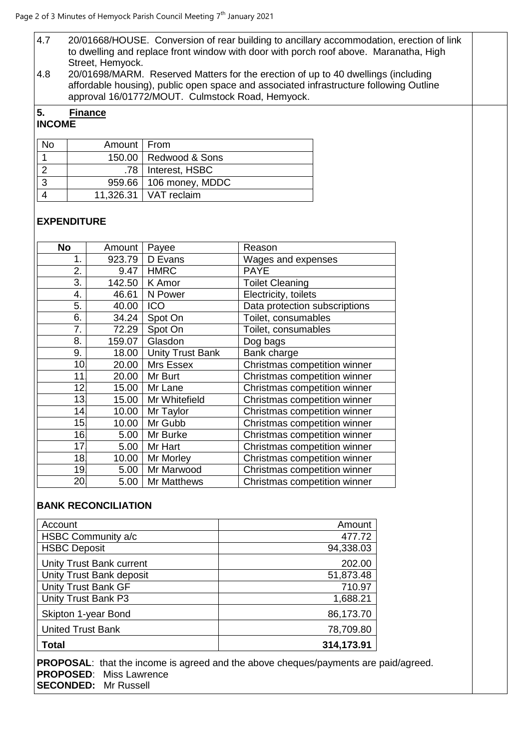- 4.7 20/01668/HOUSE. Conversion of rear building to ancillary accommodation, erection of link to dwelling and replace front window with door with porch roof above. Maranatha, High Street, Hemyock.
- 4.8 20/01698/MARM. Reserved Matters for the erection of up to 40 dwellings (including affordable housing), public open space and associated infrastructure following Outline approval 16/01772/MOUT. Culmstock Road, Hemyock.

## **5. Finance INCOME**

| No           | Amount   From |                          |
|--------------|---------------|--------------------------|
|              |               | 150.00   Redwood & Sons  |
|              |               | .78   Interest, HSBC     |
| $\mathbf{R}$ |               | 959.66   106 money, MDDC |
|              |               | 11,326.31   VAT reclaim  |

## **EXPENDITURE**

| <b>No</b>       | Amount | Payee                   | Reason                        |
|-----------------|--------|-------------------------|-------------------------------|
| 1.              | 923.79 | D Evans                 | Wages and expenses            |
| 2.              | 9.47   | <b>HMRC</b>             | <b>PAYE</b>                   |
| 3.              | 142.50 | K Amor                  | <b>Toilet Cleaning</b>        |
| 4.              | 46.61  | N Power                 | Electricity, toilets          |
| 5.              | 40.00  | ICO                     | Data protection subscriptions |
| 6.              | 34.24  | Spot On                 | Toilet, consumables           |
| 7.              | 72.29  | Spot On                 | Toilet, consumables           |
| 8.              | 159.07 | Glasdon                 | Dog bags                      |
| 9.              | 18.00  | <b>Unity Trust Bank</b> | Bank charge                   |
| 10              | 20.00  | Mrs Essex               | Christmas competition winner  |
| 11              | 20.00  | Mr Burt                 | Christmas competition winner  |
| 12              | 15.00  | Mr Lane                 | Christmas competition winner  |
| 13.             | 15.00  | Mr Whitefield           | Christmas competition winner  |
| 14              | 10.00  | Mr Taylor               | Christmas competition winner  |
| 15 <sub>1</sub> | 10.00  | Mr Gubb                 | Christmas competition winner  |
| 16.             | 5.00   | Mr Burke                | Christmas competition winner  |
| 17              | 5.00   | Mr Hart                 | Christmas competition winner  |
| 18.             | 10.00  | Mr Morley               | Christmas competition winner  |
| 19              | 5.00   | Mr Marwood              | Christmas competition winner  |
| 20              | 5.00   | Mr Matthews             | Christmas competition winner  |

## **BANK RECONCILIATION**

| Account                         | Amount     |
|---------------------------------|------------|
| HSBC Community a/c              | 477.72     |
| <b>HSBC Deposit</b>             | 94,338.03  |
| <b>Unity Trust Bank current</b> | 202.00     |
| Unity Trust Bank deposit        | 51,873.48  |
| <b>Unity Trust Bank GF</b>      | 710.97     |
| Unity Trust Bank P3             | 1,688.21   |
| Skipton 1-year Bond             | 86,173.70  |
| <b>United Trust Bank</b>        | 78,709.80  |
| <b>Total</b>                    | 314,173.91 |

**PROPOSAL**: that the income is agreed and the above cheques/payments are paid/agreed. **PROPOSED**: Miss Lawrence **SECONDED:** Mr Russell